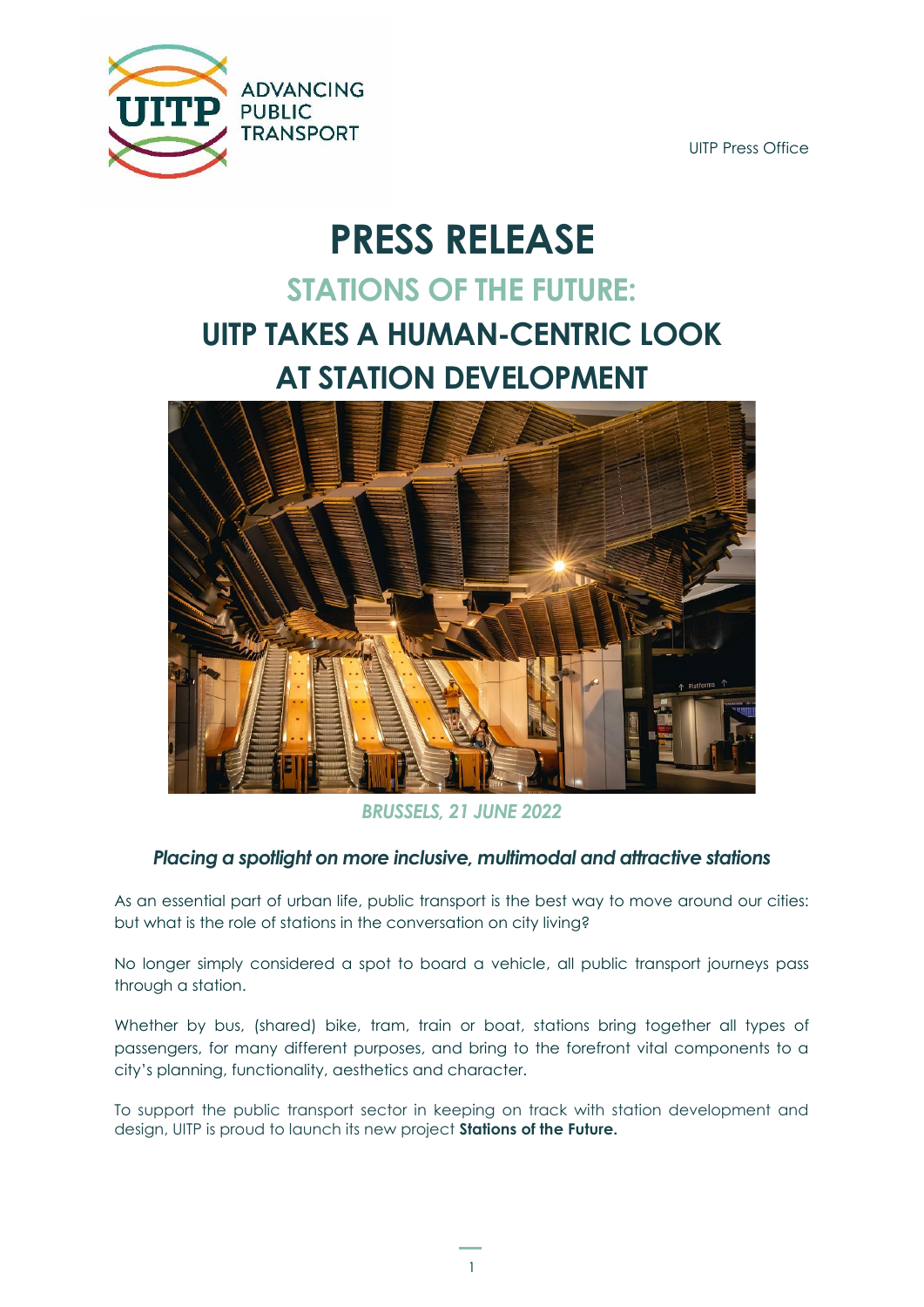

UITP Press Office

# **PRESS RELEASE**

### **STATIONS OF THE FUTURE:**

## **UITP TAKES A HUMAN-CENTRIC LOOK AT STATION DEVELOPMENT**



#### *BRUSSELS, 21 JUNE 2022*

#### *Placing a spotlight on more inclusive, multimodal and attractive stations*

As an essential part of urban life, public transport is the best way to move around our cities: but what is the role of stations in the conversation on city living?

No longer simply considered a spot to board a vehicle, all public transport journeys pass through a station.

Whether by bus, (shared) bike, tram, train or boat, stations bring together all types of passengers, for many different purposes, and bring to the forefront vital components to a city's planning, functionality, aesthetics and character.

To support the public transport sector in keeping on track with station development and design, UITP is proud to launch its new project **Stations of the Future.**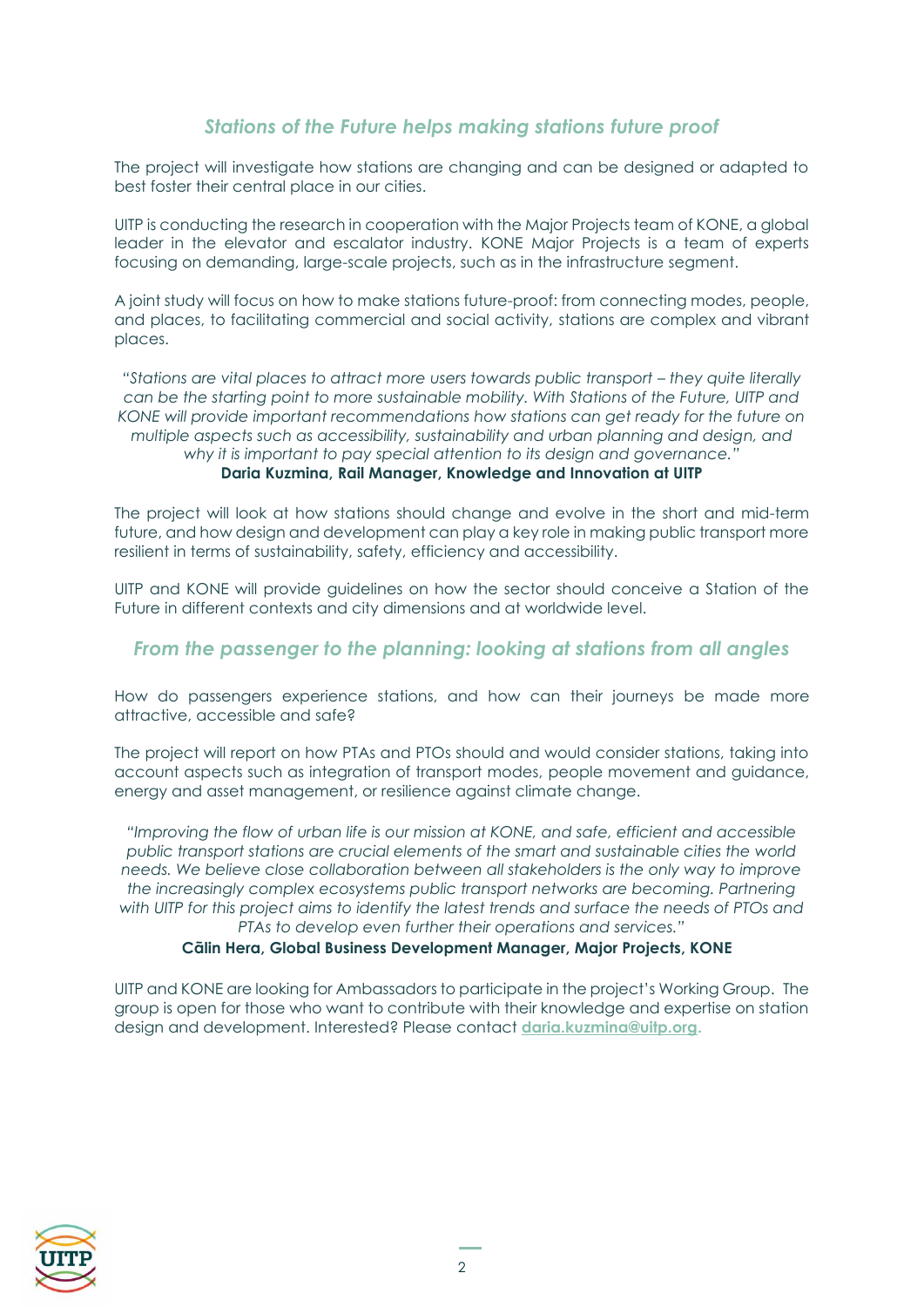#### *Stations of the Future helps making stations future proof*

The project will investigate how stations are changing and can be designed or adapted to best foster their central place in our cities.

UITP is conducting the research in cooperation with the Major Projects team of KONE, a global leader in the elevator and escalator industry. KONE Major Projects is a team of experts focusing on demanding, large-scale projects, such as in the infrastructure segment.

A joint study will focus on how to make stations future-proof: from connecting modes, people, and places, to facilitating commercial and social activity, stations are complex and vibrant places.

*"Stations are vital places to attract more users towards public transport – they quite literally can be the starting point to more sustainable mobility. With Stations of the Future, UITP and KONE will provide important recommendations how stations can get ready for the future on multiple aspects such as accessibility, sustainability and urban planning and design, and why it is important to pay special attention to its design and governance."*  **Daria Kuzmina, Rail Manager, Knowledge and Innovation at UITP**

The project will look at how stations should change and evolve in the short and mid-term future, and how design and development can play a key role in making public transport more resilient in terms of sustainability, safety, efficiency and accessibility.

UITP and KONE will provide guidelines on how the sector should conceive a Station of the Future in different contexts and city dimensions and at worldwide level.

#### *From the passenger to the planning: looking at stations from all angles*

How do passengers experience stations, and how can their journeys be made more attractive, accessible and safe?

The project will report on how PTAs and PTOs should and would consider stations, taking into account aspects such as integration of transport modes, people movement and guidance, energy and asset management, or resilience against climate change.

*"Improving the flow of urban life is our mission at KONE, and safe, efficient and accessible public transport stations are crucial elements of the smart and sustainable cities the world needs. We believe close collaboration between all stakeholders is the only way to improve the increasingly complex ecosystems public transport networks are becoming. Partnering with UITP for this project aims to identify the latest trends and surface the needs of PTOs and PTAs to develop even further their operations and services."* 

#### **Cãlin Hera, Global Business Development Manager, Major Projects, KONE**

UITP and KONE are looking for Ambassadors to participate in the project's Working Group. The group is open for those who want to contribute with their knowledge and expertise on station design and development. Interested? Please contact **[daria.kuzmina@uitp.org.](mailto:daria.kuzmina@uitp.org)**